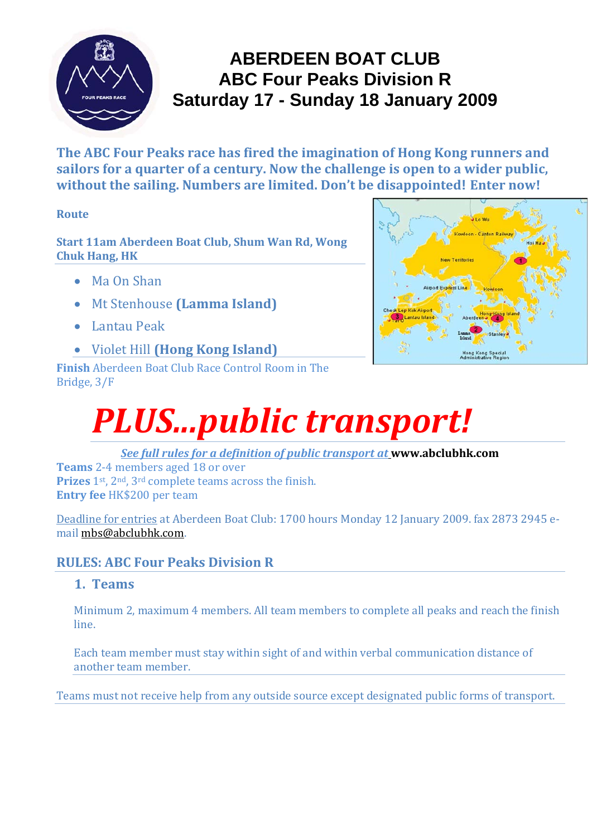

### **ABERDEEN BOAT CLUB ABC Four Peaks Division R Saturday 17 - Sunday 18 January 2009**

**The ABC Four Peaks race has fired the imagination of Hong Kong runners and sailors for a quarter of a century. Now the challenge is open to a wider public, without the sailing. Numbers are limited. Don't be disappointed! Enter now!**

#### **Route**

**Start 11am Aberdeen Boat Club, Shum Wan Rd, Wong Chuk Hang, HK**

- Ma On Shan
- Mt Stenhouse **(Lamma Island)**
- Lantau Peak
- Violet Hill **(Hong Kong Island)**

**Finish** Aberdeen Boat Club Race Control Room in The Bridge, 3/F



# *PLUS...public transport!*

*See full rules for a definition of public transport at* **www.abclubhk.com**

**Teams** 2‐4 members aged 18 or over **Prizes** 1st, 2nd, 3rd complete teams across the finish. **Entry fee** HK\$200 per team

Deadline for entries at Aberdeen Boat Club: 1700 hours Monday 12 January 2009. fax 2873 2945 e‐ mail mbs@abclubhk.com.

#### **RULES: ABC Four Peaks Division R**

#### **1. Teams**

Minimum 2, maximum 4 members. All team members to complete all peaks and reach the finish line.

Each team member must stay within sight of and within verbal communication distance of another team member.

Teams must not receive help from any outside source except designated public forms of transport.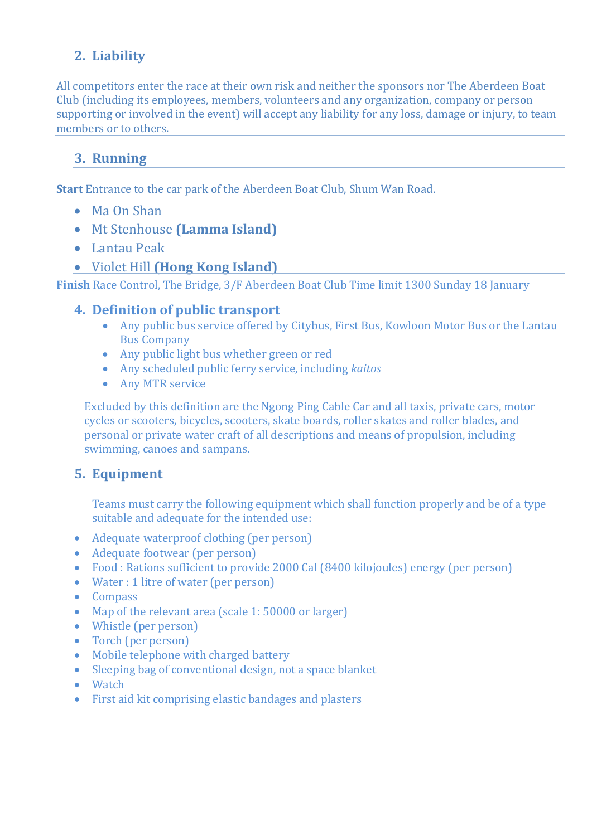#### **2. Liability**

All competitors enter the race at their own risk and neither the sponsors nor The Aberdeen Boat Club (including its employees, members, volunteers and any organization, company or person supporting or involved in the event) will accept any liability for any loss, damage or injury, to team members or to others.

#### **3. Running**

**Start** Entrance to the car park of the Aberdeen Boat Club, Shum Wan Road.

- Ma On Shan
- Mt Stenhouse **(Lamma Island)**
- Lantau Peak
- Violet Hill **(Hong Kong Island)**

**Finish** Race Control, The Bridge, 3/F Aberdeen Boat Club Time limit 1300 Sunday 18 January

#### **4. Definition of public transport**

- Any public bus service offered by Citybus, First Bus, Kowloon Motor Bus or the Lantau Bus Company
- Any public light bus whether green or red
- Any scheduled public ferry service, including *kaitos*
- Any MTR service

Excluded by this definition are the Ngong Ping Cable Car and all taxis, private cars, motor cycles or scooters, bicycles, scooters, skate boards, roller skates and roller blades, and personal or private water craft of all descriptions and means of propulsion, including swimming, canoes and sampans.

#### **5. Equipment**

Teams must carry the following equipment which shall function properly and be of a type suitable and adequate for the intended use:

- Adequate waterproof clothing (per person)
- Adequate footwear (per person)
- Food : Rations sufficient to provide 2000 Cal (8400 kilojoules) energy (per person)
- Water : 1 litre of water (per person)
- Compass
- Map of the relevant area (scale 1: 50000 or larger)
- Whistle (per person)
- Torch (per person)
- Mobile telephone with charged battery
- Sleeping bag of conventional design, not a space blanket
- Watch
- First aid kit comprising elastic bandages and plasters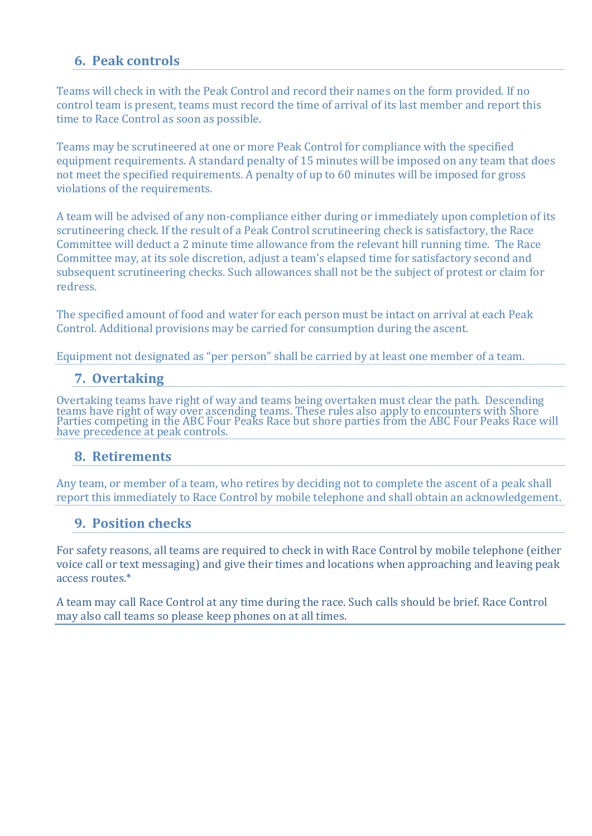#### **6. Peak controls**

Teams will check in with the Peak Control and record their names on the form provided. If no control team is present, teams must record the time of arrival of its last member and report this time to Race Control as soon as possible.

Teams may be scrutineered at one or more Peak Control for compliance with the specified equipment requirements. A standard penalty of 15 minutes will be imposed on any team that does not meet the specified requirements. A penalty of up to 60 minutes will be imposed for gross violations of the requirements.

A team will be advised of any non‐compliance either during or immediately upon completion of its scrutineering check. If the result of a Peak Control scrutineering check is satisfactory, the Race Committee will deduct a 2 minute time allowance from the relevant hill running time. The Race Committee may, at its sole discretion, adjust a team's elapsed time for satisfactory second and subsequent scrutineering checks. Such allowances shall not be the subject of protest or claim for redress.

The specified amount of food and water for each person must be intact on arrival at each Peak Control. Additional provisions may be carried for consumption during the ascent.

Equipment not designated as "per person" shall be carried by at least one member of a team.

#### **7. Overtaking**

Overtaking teams have right of way and teams being overtaken must clear the path. Descending<br>teams have right of way over ascending teams. These rules also apply to encounters with Shore<br>Parties competing in the ABC Four P have precedence at peak controls.

#### **8. Retirements**

Any team, or member of a team, who retires by deciding not to complete the ascent of a peak shall report this immediately to Race Control by mobile telephone and shall obtain an acknowledgement.

#### **9. Position checks**

For safety reasons, all teams are required to check in with Race Control by mobile telephone (either voice call or text messaging) and give their times and locations when approaching and leaving peak access routes.\*

A team may call Race Control at any time during the race. Such calls should be brief. Race Control may also call teams so please keep phones on at all times.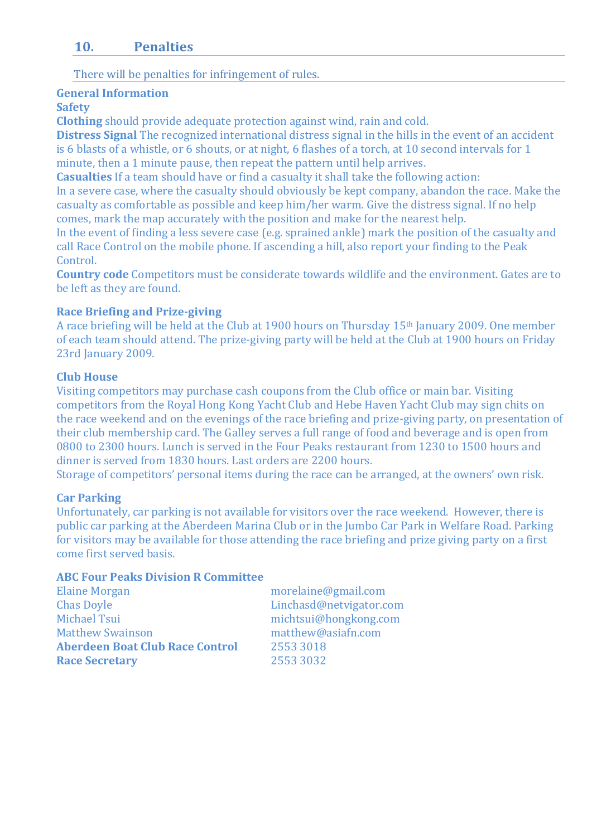#### **10. Penalties**

There will be penalties for infringement of rules.

#### **General Information**

#### **Safety**

**Clothing** should provide adequate protection against wind, rain and cold.

**Distress Signal** The recognized international distress signal in the hills in the event of an accident is 6 blasts of a whistle, or 6 shouts, or at night, 6 flashes of a torch, at 10 second intervals for 1 minute, then a 1 minute pause, then repeat the pattern until help arrives.

**Casualties** If a team should have or find a casualty it shall take the following action:

In a severe case, where the casualty should obviously be kept company, abandon the race. Make the casualty as comfortable as possible and keep him/her warm. Give the distress signal. If no help comes, mark the map accurately with the position and make for the nearest help.

In the event of finding a less severe case (e.g. sprained ankle) mark the position of the casualty and call Race Control on the mobile phone. If ascending a hill, also report your finding to the Peak Control.

**Country code** Competitors must be considerate towards wildlife and the environment. Gates are to be left as they are found.

#### **Race Briefing and Prizegiving**

A race briefing will be held at the Club at 1900 hours on Thursday 15th January 2009. One member of each team should attend. The prize‐giving party will be held at the Club at 1900 hours on Friday 23rd January 2009.

#### **Club House**

Visiting competitors may purchase cash coupons from the Club office or main bar. Visiting competitors from the Royal Hong Kong Yacht Club and Hebe Haven Yacht Club may sign chits on the race weekend and on the evenings of the race briefing and prize‐giving party, on presentation of their club membership card. The Galley serves a full range of food and beverage and is open from 0800 to 2300 hours. Lunch is served in the Four Peaks restaurant from 1230 to 1500 hours and dinner is served from 1830 hours. Last orders are 2200 hours.

Storage of competitors' personal items during the race can be arranged, at the owners' own risk.

#### **Car Parking**

Unfortunately, car parking is not available for visitors over the race weekend. However, there is public car parking at the Aberdeen Marina Club or in the Jumbo Car Park in Welfare Road. Parking for visitors may be available for those attending the race briefing and prize giving party on a first come first served basis.

#### **ABC Four Peaks Division R Committee**

| <b>Elaine Morgan</b>                   | morelaine@gmail.com     |
|----------------------------------------|-------------------------|
| <b>Chas Doyle</b>                      | Linchasd@netvigator.com |
| <b>Michael Tsui</b>                    | michtsui@hongkong.com   |
| <b>Matthew Swainson</b>                | matthew@asiafn.com      |
| <b>Aberdeen Boat Club Race Control</b> | 2553 3018               |
| <b>Race Secretary</b>                  | 2553 3032               |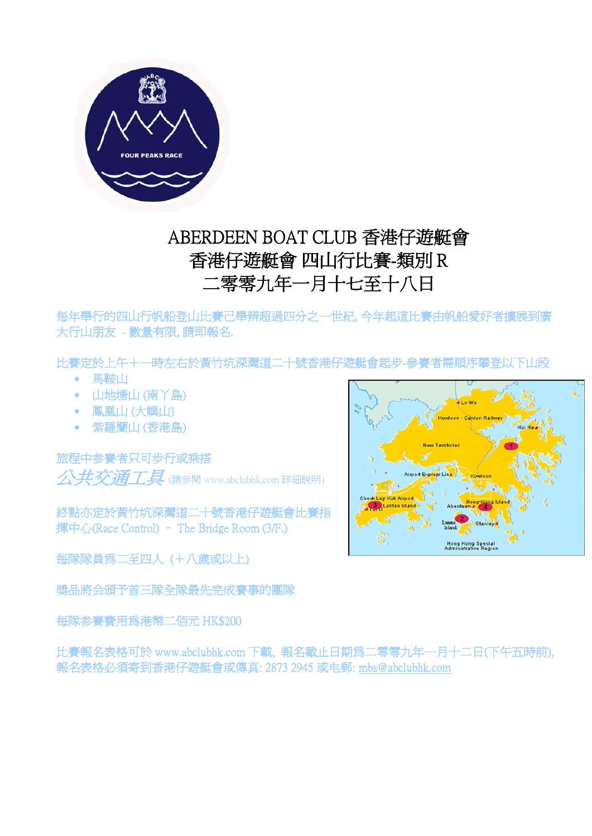

## ABERDEEN BOAT CLUB 香港仔遊艇會 香港仔遊艇會 四山行比賽-類別 R 二零零九年一月十七至十八日

每年舉行的四山行帆船登山比賽己舉辨超過四分之一世紀, 今年起這比賽由帆船愛好者擴展到廣 大行山朋友 - 數量有限, 請即報名.

比賽定於上午+一時左右於黃竹坑深灣道二十號香港仔遊艇會起步-參賽者需順序攀登以下山段

- 馬鞍山
- 山地塘山 (南丫島)
- 鳳凰山 (大嶼山)
- 紫羅蘭山 (香港島)

旅程中参賽者只可步行或乘搭 公共交通工具 (請參閱 www.abclubhk.com 詳細說明)

終點亦定於黃竹坑深灣道二十號香港仔遊艇會比賽指 揮中心(Race Control) – The Bridge Room (3/F.)

每隊隊員為二至四人 (+八歲或以上)

獎品將会頒予首三隊全隊最先完成賽事的團隊

每隊参賽費用為港幣二佰元 HK\$200

比賽報名表格可於 www.abclubhk.com 下載, 報名截止日期為二零零九年一月十二日(下午五時前), 報名表格必須寄到香港仔遊艇會或傳真: 2873 2945 或电郵: mbs@abclubhk.com

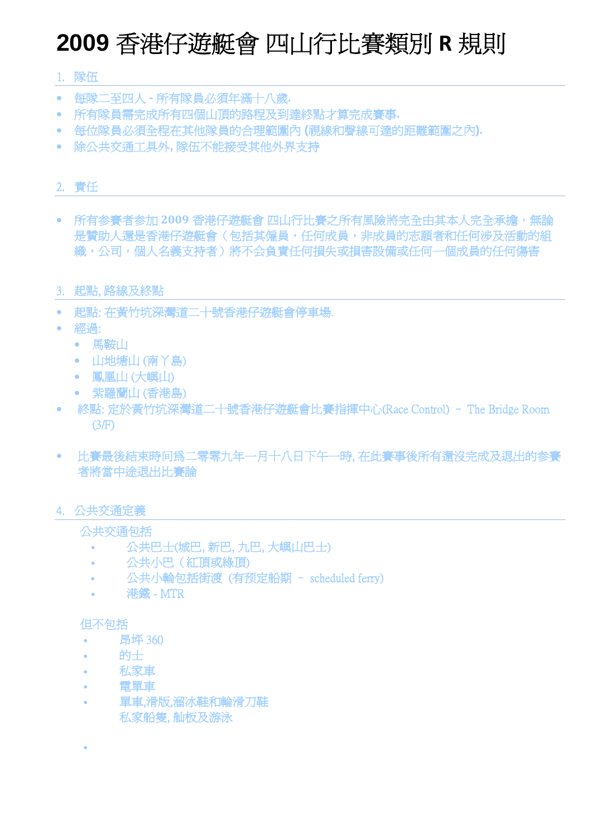## **2009** 香港仔遊艇會 四山行比賽類別 **R** 規則

#### 1. 隊伍

- 每隊二至四人所有隊員必須年滿十八歲**.**
- 所有隊員需完成所有四個山頂的路程及到達終點才算完成賽事**.**
- 每位隊員必須全程在其他隊員的合理範圍內 **(**視線和聲線可達的距離範圍之內**).**
- 除公共交通工具外**,** 隊伍不能接受其他外界支持

#### 2. 責任

• 所有参賽者参加 **2009** 香港仔遊艇會 四山行比賽之所有風險將完全由其本人完全承擔,無論 是贊助人還是香港仔遊艇會(包括其僱員,任何成員,非成員的志願者和任何涉及活動的組 織,公司,個人名義支持者)將不会負責任何損失或損害設備或任何一個成員的任何傷害

#### 3. 起點, 路線及終點

- 起點: 在黃竹坑深灣道二十號香港仔遊艇會停車場.
- 經過:
	- 馬鞍山
	- 山地塘山 (南丫島)
	- 鳳凰山 (大嶼山)
	- 紫羅蘭山 (香港島)
- 終點: 定於黃竹坑深灣道二十號香港仔遊艇會比賽指揮中心(Race Control) The Bridge Room (3/F)
- 比賽最後結束時间為二零零九年一月十八日下午一時, 在此賽事後所有還沒完成及退出的参賽 者將當中途退出比賽論

#### 4. 公共交通定義

#### 公共交通包括

- 公共巴士(城巴, 新巴, 九巴, 大嶼山巴士)
- 公共小巴(紅頂或綠頂)
- 公共小輪包括街渡 (有预定船期 scheduled ferry)
- **港鐵 MTR**

#### 但不包括

•

- 昂坪 360
- 的士
- 私家車
- 電單車
- 單車,滑版,溜冰鞋和輪滑刀鞋 私家船隻, 舢板及游泳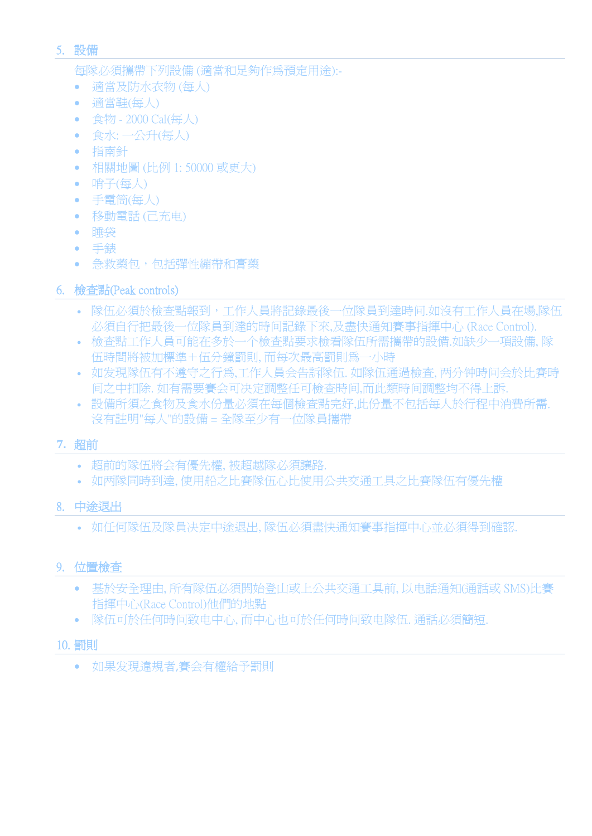#### 5. 設備

每隊必須攜帶下列設備 (適當和足夠作為預定用途):-

- 適當及防水衣物 (每人)
- 適當鞋(每人)
- 食物 2000 Cal(每人)
- 食水: 一公升(每人)
- 指南針
- 相關地圖 (比例 1: 50000 或更大)
- 哨子(每人)
- 手電筒(每人)
- 移動電話 (己充电)
- 睡袋
- 手錶
- 急救藥包,包括彈性繃帶和膏藥
- 6. 檢查點(Peak controls)
	- 隊伍必須於檢查點報到,工作人員將記錄最後一位隊員到達時间.如沒有工作人員在場,隊伍 必須自行把最後一位隊員到達的時间記錄下來,及盡快通知賽事指揮中心 (Race Control).
	- 檢查點工作人員可能在多於一个檢查點要求檢看隊伍所需攜帶的設備. 如缺少一項設備, 隊 伍時間將被加標準+伍分鐘罰則, 而每次最高罰則為一小時
	- 如发現隊伍有不遵守之行為,工作人員会告訴隊伍. 如隊伍通過檢查, 两分钟時间会於比賽時 间之中扣除. 如有需要賽会可决定調整任可檢查時间,而此類時间調整均不得上訴.
	- 設備所須之食物及食水份量必須在每個檢查點完好,此份量不包括每人於行程中消費所需. 沒有註明"每人"的設備 = 全隊至少有一位隊員攜帶

#### **7.** 超前

- 超前的隊伍將会有優先權, 被超越隊必須讓路.
- 如两隊同時到達, 使用船之比賽隊伍心比使用公共交通工具之比賽隊伍有優先權

#### 8. 中途退出

• 如任何隊伍及隊員决定中途退出, 隊伍必須盡快通知賽事指揮中心並必須得到確認.

#### 9. 位置檢查

- 基於安全理由, 所有隊伍必須開始登山或上公共交通工具前, 以电話通知(通話或 SMS)比賽 指揮中心(Race Control)他們的地點
- 隊伍可於任何時间致电中心, 而中心也可於任何時间致电隊伍. 通話必須簡短.

#### 10. 罰則

• 如果发現違規者,賽会有權給予罰則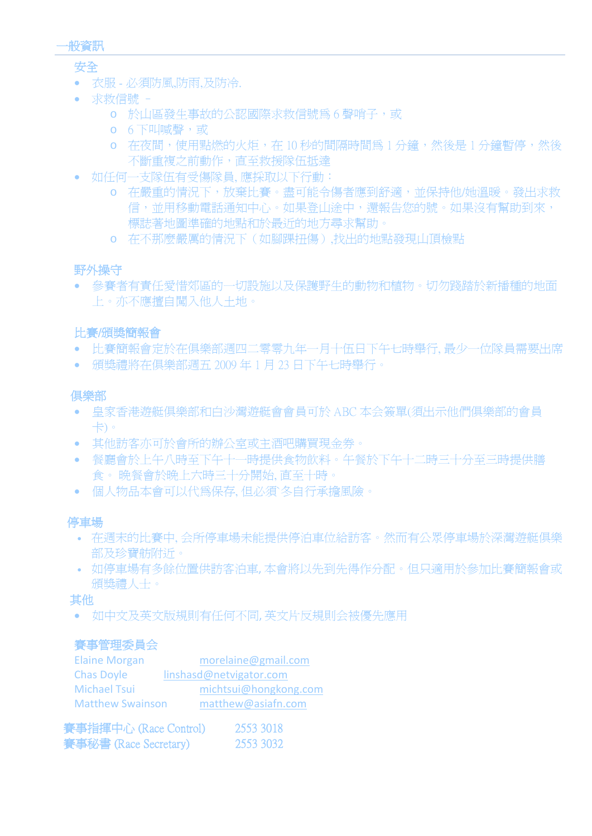

#### 安全

- 衣服 必須防風,防雨,及防冷.
- 求救信號
	- o 於山區發生事故的公認國際求救信號為 6 聲哨子,或
	- o 6 下叫喊聲,或
	- o 在夜間,使用點燃的火炬,在 10 秒的間隔時間為 1 分鐘,然後是 1 分鐘暫停,然後 不斷重複之前動作,直至救援隊伍抵達
- 如任何一支隊伍有受傷隊員, 應採取以下行動:
	- o 在嚴重的情況下,放棄比賽。盡可能令傷者應到舒適,並保持他/她溫暖。發出求救 信,並用移動電話通知中心。如果登山途中,還報告您的號。如果沒有幫助到來, 標誌著地圖準確的地點和於最近的地方尋求幫助。
	- o 在不那麼嚴厲的情況下(如腳踝扭傷),找出的地點發現山頂檢點

#### 野外操守

• 參賽者有責任愛惜郊區的一切設施以及保護野生的動物和植物。切勿踐踏於新播種的地面 上。亦不應擅自闖入他人土地。

#### 比賽/頒獎簡報會

- 比賽簡報會定於在俱樂部週四二零零九年一月十伍日下午七時舉行, 最少一位隊員需要出席
- 頒獎禮將在俱樂部週五 2009 年 1 月 23 日下午七時舉行。

#### 俱樂部

- 皇家香港遊艇俱樂部和白沙灣遊艇會會員可於 ABC 本会簽單(須出示他們俱樂部的會員 卡)。
- 其他訪客亦可於會所的辦公室或主酒吧購買現金券。
- 餐廳會於上午八時至下午十一時提供食物飲料。午餐於下午十二時三十分至三時提供膳 食。 晚餐會於晚上六時三十分開始, 直至十時。
- 個人物品本會可以代為保存, 但必須`冬自行承擔風險。

#### 停車場

- 在週末的比賽中, 会所停車場未能提供停泊車位給訪客。然而有公眾停車場於深灣遊艇俱樂 部及珍寶舫附近。
- 如停車場有多餘位置供訪客泊車, 本會將以先到先得作分配。但只適用於參加比賽簡報會或 頒獎禮人士。

#### 其他

• 如中文及英文版規則有任何不同, 英文片反規則会被優先應用

#### 賽事管理委員会

| <b>Elaine Morgan</b>    | morelaine@gmail.com     |
|-------------------------|-------------------------|
| <b>Chas Doyle</b>       | linshasd@netvigator.com |
| <b>Michael Tsui</b>     | michtsui@hongkong.com   |
| <b>Matthew Swainson</b> | matthew@asiafn.com      |
|                         |                         |

| 賽事指揮中心 (Race Control) | 2553 3018 |
|-----------------------|-----------|
| 賽事秘書 (Race Secretary) | 2553 3032 |